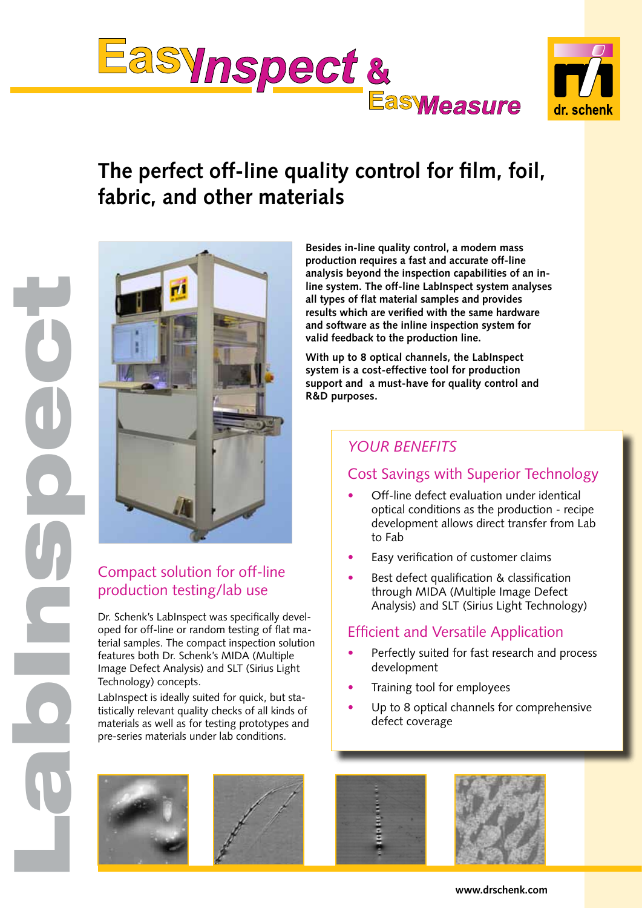

# **The perfect off-line quality control for film, foil, fabric, and other materials**



# Compact solution for off-line production testing/lab use

LabInspect

Dr. Schenk's LabInspect was specifically developed for off-line or random testing of flat material samples. The compact inspection solution features both Dr. Schenk's MIDA (Multiple Image Defect Analysis) and SLT (Sirius Light Technology) concepts.

LabInspect is ideally suited for quick, but statistically relevant quality checks of all kinds of materials as well as for testing prototypes and pre-series materials under lab conditions.

**Besides in-line quality control, a modern mass production requires a fast and accurate off-line analysis beyond the inspection capabilities of an inline system. The off-line LabInspect system analyses all types of flat material samples and provides results which are verified with the same hardware and software as the inline inspection system for valid feedback to the production line.**

**With up to 8 optical channels, the LabInspect system is a cost-effective tool for production support and a must-have for quality control and R&D purposes.** 

# *your Benefits*

## Cost Savings with Superior Technology

- Off-line defect evaluation under identical optical conditions as the production - recipe development allows direct transfer from Lab to Fab
- Easy verification of customer claims
- Best defect qualification & classification through MIDA (Multiple Image Defect Analysis) and SLT (Sirius Light Technology)

#### Efficient and Versatile Application

- Perfectly suited for fast research and process development
- Training tool for employees
- Up to 8 optical channels for comprehensive defect coverage